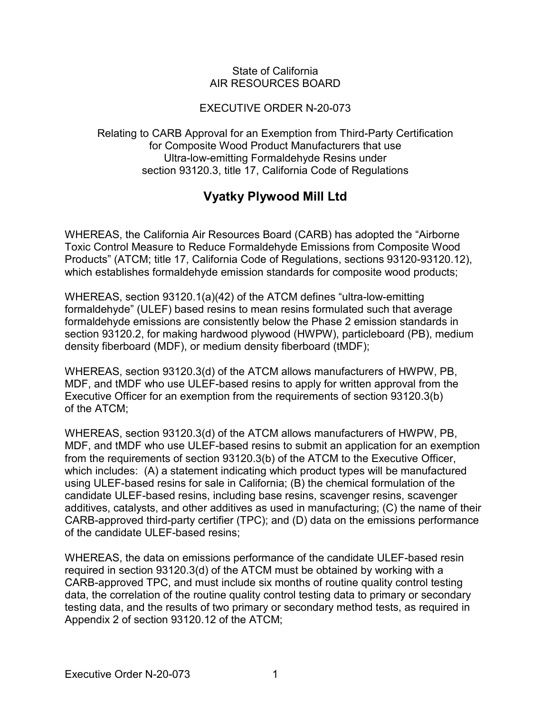#### State of California AIR RESOURCES BOARD

## EXECUTIVE ORDER N-20-073

Relating to CARB Approval for an Exemption from Third-Party Certification for Composite Wood Product Manufacturers that use Ultra-low-emitting Formaldehyde Resins under section 93120.3, title 17, California Code of Regulations

# **Vyatky Plywood Mill Ltd**

WHEREAS, the California Air Resources Board (CARB) has adopted the "Airborne Toxic Control Measure to Reduce Formaldehyde Emissions from Composite Wood Products" (ATCM; title 17, California Code of Regulations, sections 93120-93120.12), which establishes formaldehyde emission standards for composite wood products;

WHEREAS, section 93120.1(a)(42) of the ATCM defines "ultra-low-emitting formaldehyde" (ULEF) based resins to mean resins formulated such that average formaldehyde emissions are consistently below the Phase 2 emission standards in section 93120.2, for making hardwood plywood (HWPW), particleboard (PB), medium density fiberboard (MDF), or medium density fiberboard (tMDF);

WHEREAS, section 93120.3(d) of the ATCM allows manufacturers of HWPW, PB, MDF, and tMDF who use ULEF-based resins to apply for written approval from the Executive Officer for an exemption from the requirements of section 93120.3(b) of the ATCM;

WHEREAS, section 93120.3(d) of the ATCM allows manufacturers of HWPW, PB, MDF, and tMDF who use ULEF-based resins to submit an application for an exemption from the requirements of section 93120.3(b) of the ATCM to the Executive Officer, which includes: (A) a statement indicating which product types will be manufactured using ULEF-based resins for sale in California; (B) the chemical formulation of the candidate ULEF-based resins, including base resins, scavenger resins, scavenger additives, catalysts, and other additives as used in manufacturing; (C) the name of their CARB-approved third-party certifier (TPC); and (D) data on the emissions performance of the candidate ULEF-based resins;

WHEREAS, the data on emissions performance of the candidate ULEF-based resin required in section 93120.3(d) of the ATCM must be obtained by working with a CARB-approved TPC, and must include six months of routine quality control testing data, the correlation of the routine quality control testing data to primary or secondary testing data, and the results of two primary or secondary method tests, as required in Appendix 2 of section 93120.12 of the ATCM;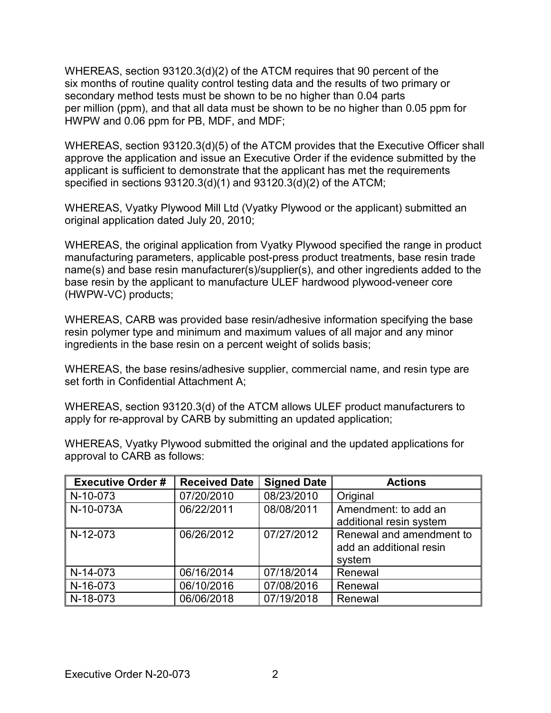WHEREAS, section 93120.3(d)(2) of the ATCM requires that 90 percent of the six months of routine quality control testing data and the results of two primary or secondary method tests must be shown to be no higher than 0.04 parts per million (ppm), and that all data must be shown to be no higher than 0.05 ppm for HWPW and 0.06 ppm for PB, MDF, and MDF;

WHEREAS, section 93120.3(d)(5) of the ATCM provides that the Executive Officer shall approve the application and issue an Executive Order if the evidence submitted by the applicant is sufficient to demonstrate that the applicant has met the requirements specified in sections 93120.3(d)(1) and 93120.3(d)(2) of the ATCM;

WHEREAS, Vyatky Plywood Mill Ltd (Vyatky Plywood or the applicant) submitted an original application dated July 20, 2010;

WHEREAS, the original application from Vyatky Plywood specified the range in product manufacturing parameters, applicable post-press product treatments, base resin trade name(s) and base resin manufacturer(s)/supplier(s), and other ingredients added to the base resin by the applicant to manufacture ULEF hardwood plywood-veneer core (HWPW-VC) products;

WHEREAS, CARB was provided base resin/adhesive information specifying the base resin polymer type and minimum and maximum values of all major and any minor ingredients in the base resin on a percent weight of solids basis;

WHEREAS, the base resins/adhesive supplier, commercial name, and resin type are set forth in Confidential Attachment A;

WHEREAS, section 93120.3(d) of the ATCM allows ULEF product manufacturers to apply for re-approval by CARB by submitting an updated application;

| <b>Executive Order #</b> | <b>Received Date</b> | <b>Signed Date</b> | <b>Actions</b>                                                |
|--------------------------|----------------------|--------------------|---------------------------------------------------------------|
| N-10-073                 | 07/20/2010           | 08/23/2010         | Original                                                      |
| N-10-073A                | 06/22/2011           | 08/08/2011         | Amendment: to add an<br>additional resin system               |
| N-12-073                 | 06/26/2012           | 07/27/2012         | Renewal and amendment to<br>add an additional resin<br>system |
| N-14-073                 | 06/16/2014           | 07/18/2014         | Renewal                                                       |
| N-16-073                 | 06/10/2016           | 07/08/2016         | Renewal                                                       |
| N-18-073                 | 06/06/2018           | 07/19/2018         | Renewal                                                       |

WHEREAS, Vyatky Plywood submitted the original and the updated applications for approval to CARB as follows: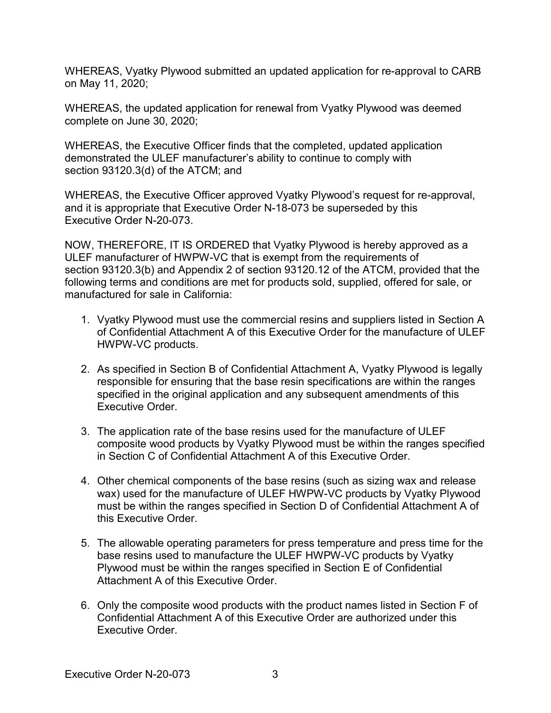WHEREAS, Vyatky Plywood submitted an updated application for re-approval to CARB on May 11, 2020;

WHEREAS, the updated application for renewal from Vyatky Plywood was deemed complete on June 30, 2020;

WHEREAS, the Executive Officer finds that the completed, updated application demonstrated the ULEF manufacturer's ability to continue to comply with section 93120.3(d) of the ATCM; and

WHEREAS, the Executive Officer approved Vyatky Plywood's request for re-approval, and it is appropriate that Executive Order N-18-073 be superseded by this Executive Order N-20-073.

NOW, THEREFORE, IT IS ORDERED that Vyatky Plywood is hereby approved as a ULEF manufacturer of HWPW-VC that is exempt from the requirements of section 93120.3(b) and Appendix 2 of section 93120.12 of the ATCM, provided that the following terms and conditions are met for products sold, supplied, offered for sale, or manufactured for sale in California:

- 1. Vyatky Plywood must use the commercial resins and suppliers listed in Section A of Confidential Attachment A of this Executive Order for the manufacture of ULEF HWPW-VC products.
- 2. As specified in Section B of Confidential Attachment A, Vyatky Plywood is legally responsible for ensuring that the base resin specifications are within the ranges specified in the original application and any subsequent amendments of this Executive Order.
- 3. The application rate of the base resins used for the manufacture of ULEF composite wood products by Vyatky Plywood must be within the ranges specified in Section C of Confidential Attachment A of this Executive Order.
- 4. Other chemical components of the base resins (such as sizing wax and release wax) used for the manufacture of ULEF HWPW-VC products by Vyatky Plywood must be within the ranges specified in Section D of Confidential Attachment A of this Executive Order.
- 5. The allowable operating parameters for press temperature and press time for the base resins used to manufacture the ULEF HWPW-VC products by Vyatky Plywood must be within the ranges specified in Section E of Confidential Attachment A of this Executive Order.
- 6. Only the composite wood products with the product names listed in Section F of Confidential Attachment A of this Executive Order are authorized under this Executive Order.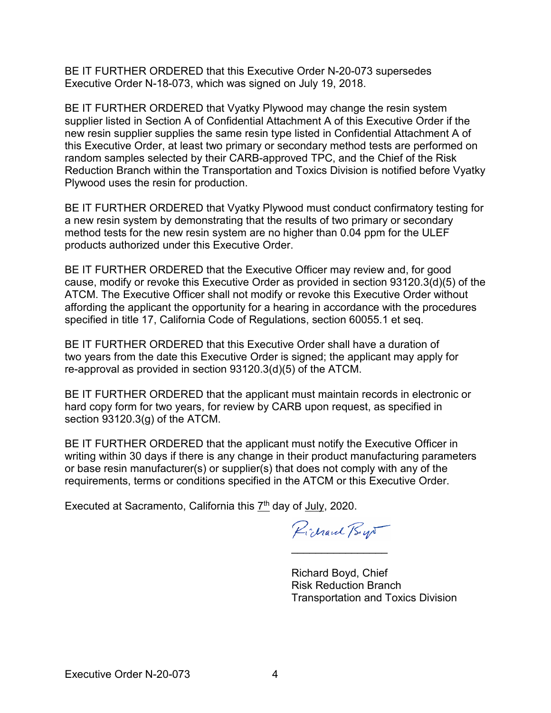BE IT FURTHER ORDERED that this Executive Order N-20-073 supersedes Executive Order N-18-073, which was signed on July 19, 2018.

BE IT FURTHER ORDERED that Vyatky Plywood may change the resin system supplier listed in Section A of Confidential Attachment A of this Executive Order if the new resin supplier supplies the same resin type listed in Confidential Attachment A of this Executive Order, at least two primary or secondary method tests are performed on random samples selected by their CARB-approved TPC, and the Chief of the Risk Reduction Branch within the Transportation and Toxics Division is notified before Vyatky Plywood uses the resin for production.

BE IT FURTHER ORDERED that Vyatky Plywood must conduct confirmatory testing for a new resin system by demonstrating that the results of two primary or secondary method tests for the new resin system are no higher than 0.04 ppm for the ULEF products authorized under this Executive Order.

BE IT FURTHER ORDERED that the Executive Officer may review and, for good cause, modify or revoke this Executive Order as provided in section 93120.3(d)(5) of the ATCM. The Executive Officer shall not modify or revoke this Executive Order without affording the applicant the opportunity for a hearing in accordance with the procedures specified in title 17, California Code of Regulations, section 60055.1 et seq.

BE IT FURTHER ORDERED that this Executive Order shall have a duration of two years from the date this Executive Order is signed; the applicant may apply for re-approval as provided in section 93120.3(d)(5) of the ATCM.

BE IT FURTHER ORDERED that the applicant must maintain records in electronic or hard copy form for two years, for review by CARB upon request, as specified in section 93120.3(g) of the ATCM.

BE IT FURTHER ORDERED that the applicant must notify the Executive Officer in writing within 30 days if there is any change in their product manufacturing parameters or base resin manufacturer(s) or supplier(s) that does not comply with any of the requirements, terms or conditions specified in the ATCM or this Executive Order.

Executed at Sacramento, California this  $7<sup>th</sup>$  day of July, 2020.

Pichard Byr

 $\overline{\phantom{a}}$ 

Richard Boyd, Chief Risk Reduction Branch Transportation and Toxics Division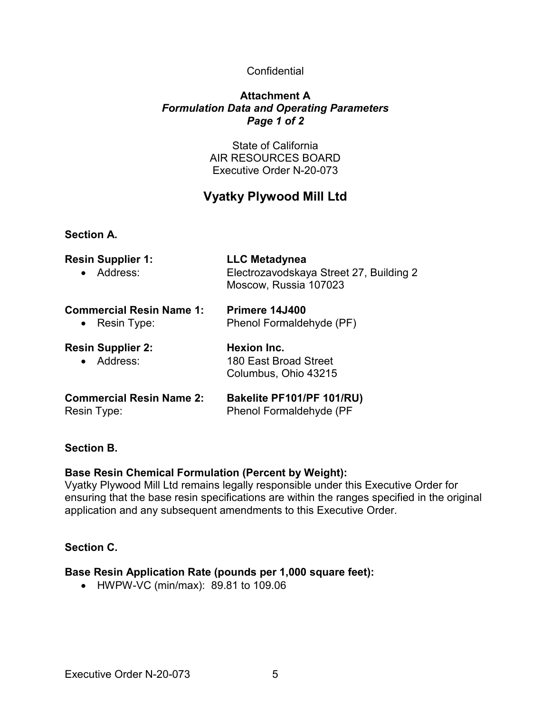### **Confidential**

#### **Attachment A** *Formulation Data and Operating Parameters Page 1 of 2*

State of California AIR RESOURCES BOARD Executive Order N-20-073

## **Vyatky Plywood Mill Ltd**

**Section A.**

| <b>Resin Supplier 1:</b><br>• Address:           | <b>LLC Metadynea</b><br>Electrozavodskaya Street 27, Building 2<br>Moscow, Russia 107023<br>Primere 14J400<br>Phenol Formaldehyde (PF) |  |  |
|--------------------------------------------------|----------------------------------------------------------------------------------------------------------------------------------------|--|--|
| <b>Commercial Resin Name 1:</b><br>• Resin Type: |                                                                                                                                        |  |  |
| <b>Resin Supplier 2:</b><br>• Address:           | Hexion Inc.<br>180 East Broad Street<br>Columbus, Ohio 43215                                                                           |  |  |
| <b>Commercial Resin Name 2:</b><br>Resin Type:   | Bakelite PF101/PF 101/RU)<br>Phenol Formaldehyde (PF                                                                                   |  |  |

#### **Section B.**

#### **Base Resin Chemical Formulation (Percent by Weight):**

Vyatky Plywood Mill Ltd remains legally responsible under this Executive Order for ensuring that the base resin specifications are within the ranges specified in the original application and any subsequent amendments to this Executive Order.

#### **Section C.**

#### **Base Resin Application Rate (pounds per 1,000 square feet):**

• HWPW-VC (min/max): 89.81 to 109.06